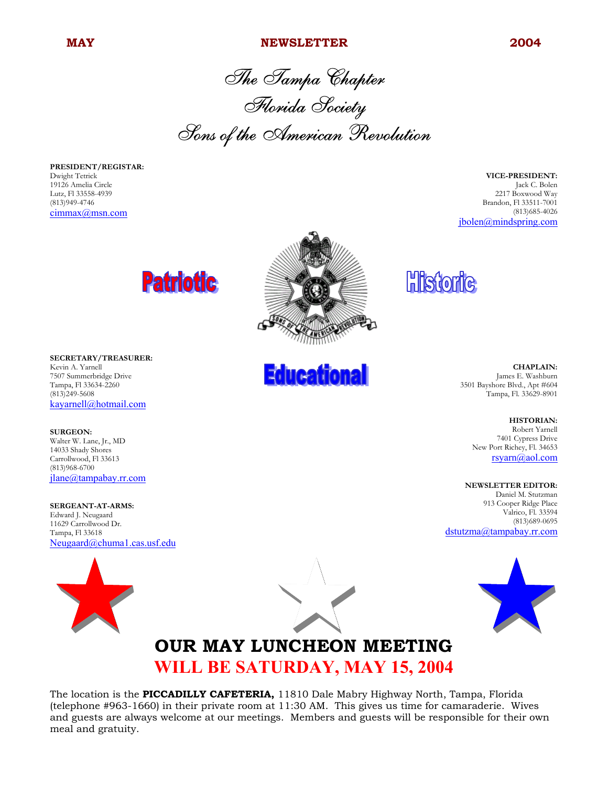#### **MAY NEWSLETTER 2004**

The Tampa Chapter Florida Society Sons of the American Revolution

**PRESIDENT/REGISTAR:** Dwight Tetrick 19126 Amelia Circle Lutz, Fl 33558-4939 (813)949-4746 cimmax@msn.com

**VICE-PRESIDENT:** Jack C. Bolen 2217 Boxwood Way Brandon, Fl 33511-7001 (813)685-4026 jbolen@mindspring.com





**SURGEON:** Walter W. Lane, Jr., MD 14033 Shady Shores Carrollwood, Fl 33613 (813)968-6700 jlane@tampabay.rr.com

**SERGEANT-AT-ARMS:** Edward J. Neugaard 11629 Carrollwood Dr. Tampa, Fl 33618 Neugaard@chuma1.cas.usf.edu





**Educational** 



### **OUR MAY LUNCHEON MEETING WILL BE SATURDAY, MAY 15, 2004**

The location is the **PICCADILLY CAFETERIA,** 11810 Dale Mabry Highway North, Tampa, Florida (telephone #963-1660) in their private room at 11:30 AM. This gives us time for camaraderie. Wives and guests are always welcome at our meetings. Members and guests will be responsible for their own meal and gratuity.

**Historic** 

**CHAPLAIN:** James E. Washburn 3501 Bayshore Blvd., Apt #604 Tampa, Fl. 33629-8901

> **HISTORIAN:** Robert Yarnell

7401 Cypress Drive New Port Richey, Fl. 34653 rsyarn@aol.com

#### **NEWSLETTER EDITOR:**

Daniel M. Stutzman 913 Cooper Ridge Place Valrico, Fl. 33594 (813)689-0695 dstutzma@tampabay.rr.com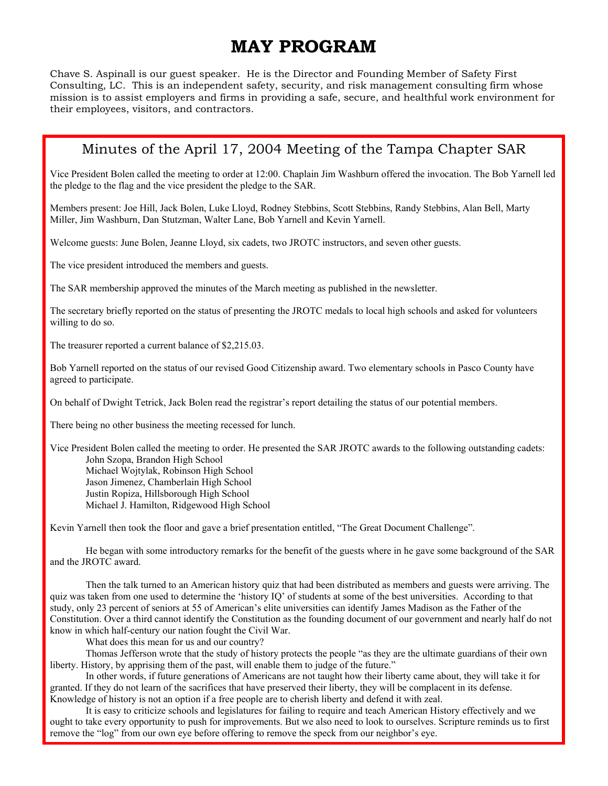## **MAY PROGRAM**

Chave S. Aspinall is our guest speaker. He is the Director and Founding Member of Safety First Consulting, LC. This is an independent safety, security, and risk management consulting firm whose mission is to assist employers and firms in providing a safe, secure, and healthful work environment for their employees, visitors, and contractors.

#### Minutes of the April 17, 2004 Meeting of the Tampa Chapter SAR

Vice President Bolen called the meeting to order at 12:00. Chaplain Jim Washburn offered the invocation. The Bob Yarnell led the pledge to the flag and the vice president the pledge to the SAR.

Members present: Joe Hill, Jack Bolen, Luke Lloyd, Rodney Stebbins, Scott Stebbins, Randy Stebbins, Alan Bell, Marty Miller, Jim Washburn, Dan Stutzman, Walter Lane, Bob Yarnell and Kevin Yarnell.

Welcome guests: June Bolen, Jeanne Lloyd, six cadets, two JROTC instructors, and seven other guests.

The vice president introduced the members and guests.

The SAR membership approved the minutes of the March meeting as published in the newsletter.

The secretary briefly reported on the status of presenting the JROTC medals to local high schools and asked for volunteers willing to do so.

The treasurer reported a current balance of \$2,215.03.

Bob Yarnell reported on the status of our revised Good Citizenship award. Two elementary schools in Pasco County have agreed to participate.

On behalf of Dwight Tetrick, Jack Bolen read the registrar's report detailing the status of our potential members.

There being no other business the meeting recessed for lunch.

Vice President Bolen called the meeting to order. He presented the SAR JROTC awards to the following outstanding cadets: John Szopa, Brandon High School Michael Wojtylak, Robinson High School Jason Jimenez, Chamberlain High School Justin Ropiza, Hillsborough High School Michael J. Hamilton, Ridgewood High School

Kevin Yarnell then took the floor and gave a brief presentation entitled, "The Great Document Challenge".

He began with some introductory remarks for the benefit of the guests where in he gave some background of the SAR and the JROTC award.

Then the talk turned to an American history quiz that had been distributed as members and guests were arriving. The quiz was taken from one used to determine the 'history IQ' of students at some of the best universities. According to that study, only 23 percent of seniors at 55 of American's elite universities can identify James Madison as the Father of the Constitution. Over a third cannot identify the Constitution as the founding document of our government and nearly half do not know in which half-century our nation fought the Civil War.

What does this mean for us and our country?

Thomas Jefferson wrote that the study of history protects the people "as they are the ultimate guardians of their own liberty. History, by apprising them of the past, will enable them to judge of the future."

In other words, if future generations of Americans are not taught how their liberty came about, they will take it for granted. If they do not learn of the sacrifices that have preserved their liberty, they will be complacent in its defense. Knowledge of history is not an option if a free people are to cherish liberty and defend it with zeal.

It is easy to criticize schools and legislatures for failing to require and teach American History effectively and we ought to take every opportunity to push for improvements. But we also need to look to ourselves. Scripture reminds us to first remove the "log" from our own eye before offering to remove the speck from our neighbor's eye.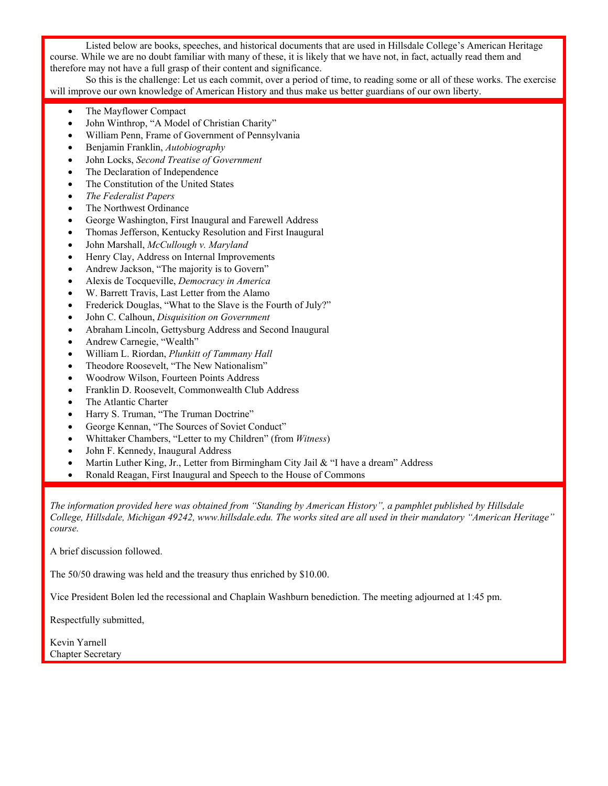Listed below are books, speeches, and historical documents that are used in Hillsdale College's American Heritage course. While we are no doubt familiar with many of these, it is likely that we have not, in fact, actually read them and therefore may not have a full grasp of their content and significance.

So this is the challenge: Let us each commit, over a period of time, to reading some or all of these works. The exercise will improve our own knowledge of American History and thus make us better guardians of our own liberty.

- The Mayflower Compact
- John Winthrop, "A Model of Christian Charity"
- William Penn, Frame of Government of Pennsylvania
- Benjamin Franklin, *Autobiography*
- John Locks, *Second Treatise of Government*
- The Declaration of Independence
- The Constitution of the United States
- *The Federalist Papers*
- The Northwest Ordinance
- George Washington, First Inaugural and Farewell Address
- Thomas Jefferson, Kentucky Resolution and First Inaugural
- John Marshall, *McCullough v. Maryland*
- Henry Clay, Address on Internal Improvements
- Andrew Jackson, "The majority is to Govern"
- Alexis de Tocqueville, *Democracy in America*
- W. Barrett Travis, Last Letter from the Alamo
- Frederick Douglas, "What to the Slave is the Fourth of July?"
- John C. Calhoun, *Disquisition on Government*
- Abraham Lincoln, Gettysburg Address and Second Inaugural
- Andrew Carnegie, "Wealth"
- William L. Riordan, *Plunkitt of Tammany Hall*
- Theodore Roosevelt, "The New Nationalism"
- Woodrow Wilson, Fourteen Points Address
- Franklin D. Roosevelt, Commonwealth Club Address
- The Atlantic Charter
- Harry S. Truman, "The Truman Doctrine"
- George Kennan, "The Sources of Soviet Conduct"
- Whittaker Chambers, "Letter to my Children" (from *Witness*)
- John F. Kennedy, Inaugural Address
- Martin Luther King, Jr., Letter from Birmingham City Jail  $&$  "I have a dream" Address
- Ronald Reagan, First Inaugural and Speech to the House of Commons

*The information provided here was obtained from "Standing by American History", a pamphlet published by Hillsdale College, Hillsdale, Michigan 49242, www.hillsdale.edu. The works sited are all used in their mandatory "American Heritage" course.*

A brief discussion followed.

The 50/50 drawing was held and the treasury thus enriched by \$10.00.

Vice President Bolen led the recessional and Chaplain Washburn benediction. The meeting adjourned at 1:45 pm.

Respectfully submitted,

Kevin Yarnell Chapter Secretary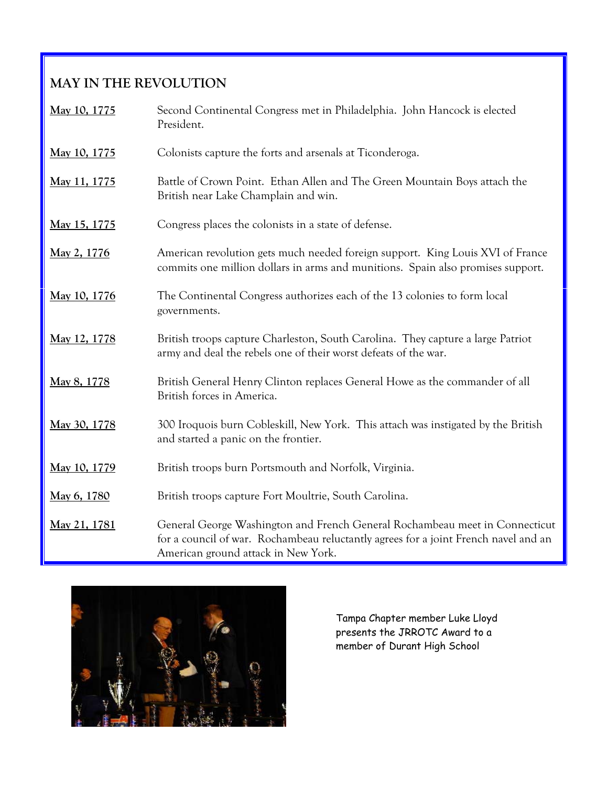### **MAY IN THE REVOLUTION**

| May 10, 1775 | Second Continental Congress met in Philadelphia. John Hancock is elected<br>President.                                                                                                                    |
|--------------|-----------------------------------------------------------------------------------------------------------------------------------------------------------------------------------------------------------|
| May 10, 1775 | Colonists capture the forts and arsenals at Ticonderoga.                                                                                                                                                  |
| May 11, 1775 | Battle of Crown Point. Ethan Allen and The Green Mountain Boys attach the<br>British near Lake Champlain and win.                                                                                         |
| May 15, 1775 | Congress places the colonists in a state of defense.                                                                                                                                                      |
| May 2, 1776  | American revolution gets much needed foreign support. King Louis XVI of France<br>commits one million dollars in arms and munitions. Spain also promises support.                                         |
| May 10, 1776 | The Continental Congress authorizes each of the 13 colonies to form local<br>governments.                                                                                                                 |
| May 12, 1778 | British troops capture Charleston, South Carolina. They capture a large Patriot<br>army and deal the rebels one of their worst defeats of the war.                                                        |
| May 8, 1778  | British General Henry Clinton replaces General Howe as the commander of all<br>British forces in America.                                                                                                 |
| May 30, 1778 | 300 Iroquois burn Cobleskill, New York. This attach was instigated by the British<br>and started a panic on the frontier.                                                                                 |
| May 10, 1779 | British troops burn Portsmouth and Norfolk, Virginia.                                                                                                                                                     |
| May 6, 1780  | British troops capture Fort Moultrie, South Carolina.                                                                                                                                                     |
| May 21, 1781 | General George Washington and French General Rochambeau meet in Connecticut<br>for a council of war. Rochambeau reluctantly agrees for a joint French navel and an<br>American ground attack in New York. |



Tampa Chapter member Luke Lloyd presents the JRROTC Award to a member of Durant High School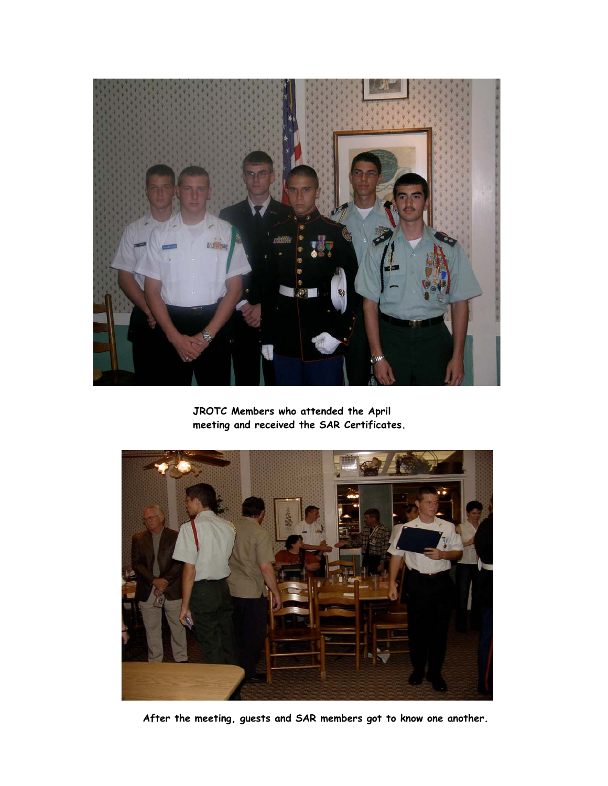

**JROTC Members who attended the April meeting and received the SAR Certificates.**



**After the meeting, guests and SAR members got to know one another.**